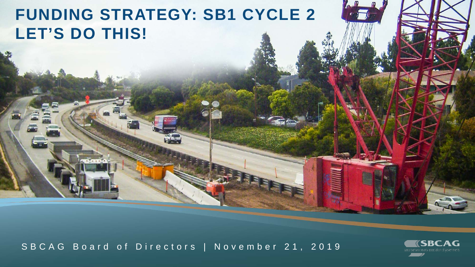# **FUNDING STRATEGY: SB1 CYCLE 2 LET'S DO THIS!**

SBCAG Board of Directors | November 21, 2019

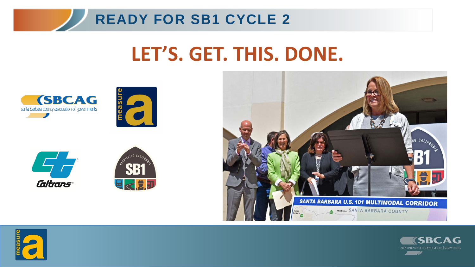

# **LET'S. GET. THIS. DONE.**













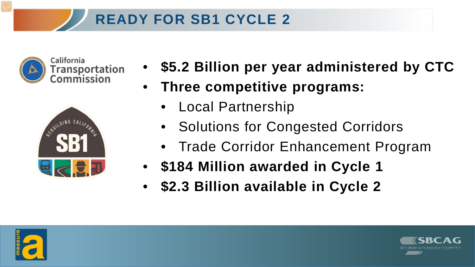# **READY FOR SB1 CYCLE 2**



California Transportation<br>Commission



- **\$5.2 Billion per year administered by CTC**
- **Three competitive programs:**
	- Local Partnership
	- Solutions for Congested Corridors
	- Trade Corridor Enhancement Program
- **\$184 Million awarded in Cycle 1**
- **\$2.3 Billion available in Cycle 2**



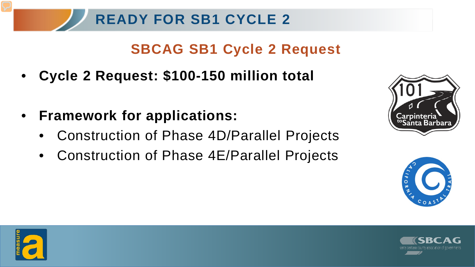#### **SBCAG SB1 Cycle 2 Request**

- **Cycle 2 Request: \$100-150 million total**
- **Framework for applications:**
	- Construction of Phase 4D/Parallel Projects
	- Construction of Phase 4E/Parallel Projects







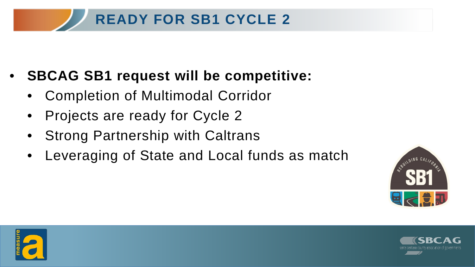# **READY FOR SB1 CYCLE 2**

- **SBCAG SB1 request will be competitive:**
	- Completion of Multimodal Corridor
	- Projects are ready for Cycle 2
	- Strong Partnership with Caltrans
	- Leveraging of State and Local funds as match





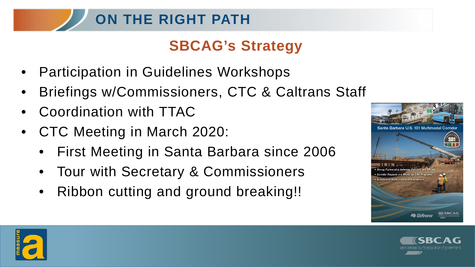# **ON THE RIGHT PATH**

# **SBCAG's Strategy**

- Participation in Guidelines Workshops
- Briefings w/Commissioners, CTC & Caltrans Staff
- Coordination with TTAC
- CTC Meeting in March 2020:
	- First Meeting in Santa Barbara since 2006
	- Tour with Secretary & Commissioners
	- Ribbon cutting and ground breaking!!





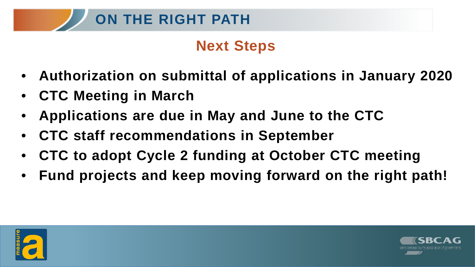# **Next Steps**

- **Authorization on submittal of applications in January 2020**
- **CTC Meeting in March**
- **Applications are due in May and June to the CTC**
- **CTC staff recommendations in September**
- **CTC to adopt Cycle 2 funding at October CTC meeting**
- **Fund projects and keep moving forward on the right path!**